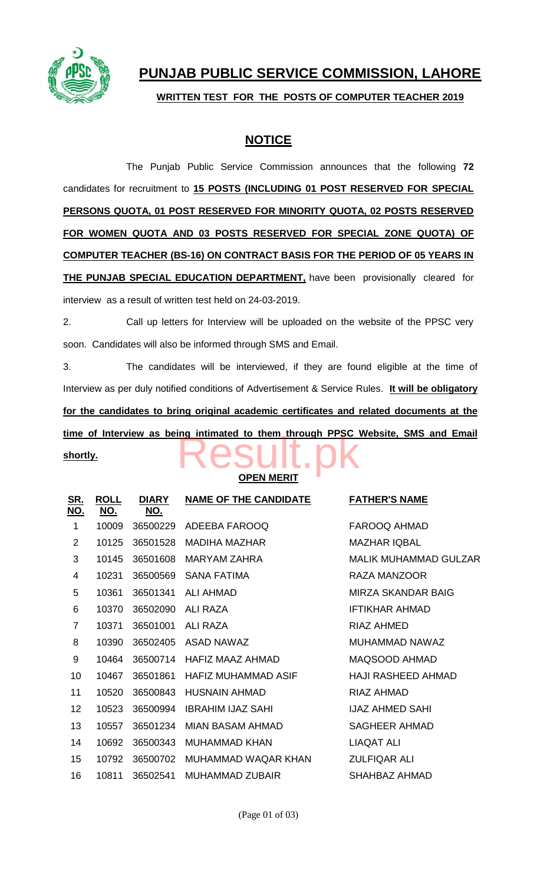

## **PUNJAB PUBLIC SERVICE COMMISSION, LAHORE**

**WRITTEN TEST FOR THE POSTS OF COMPUTER TEACHER 2019**

## **NOTICE**

The Punjab Public Service Commission announces that the following **72** candidates for recruitment to **15 POSTS (INCLUDING 01 POST RESERVED FOR SPECIAL PERSONS QUOTA, 01 POST RESERVED FOR MINORITY QUOTA, 02 POSTS RESERVED FOR WOMEN QUOTA AND 03 POSTS RESERVED FOR SPECIAL ZONE QUOTA) OF COMPUTER TEACHER (BS-16) ON CONTRACT BASIS FOR THE PERIOD OF 05 YEARS IN THE PUNJAB SPECIAL EDUCATION DEPARTMENT,** have been provisionally cleared for interview as a result of written test held on 24-03-2019.

2. Call up letters for Interview will be uploaded on the website of the PPSC very soon. Candidates will also be informed through SMS and Email.

3. The candidates will be interviewed, if they are found eligible at the time of Interview as per duly notified conditions of Advertisement & Service Rules. **It will be obligatory for the candidates to bring original academic certificates and related documents at the**  time of Interview as being intimated to them through PPSC Website, SMS and Email shortly.

**shortly.**

## **OPEN MERIT**

| <b>ROLL</b><br>NO. | <b>DIARY</b><br>NO. | <b>NAME OF THE CANDIDATE</b> | <b>FATHER'S NAME</b>         |
|--------------------|---------------------|------------------------------|------------------------------|
| 10009              | 36500229            | ADEEBA FAROOQ                | <b>FAROOQ AHMAD</b>          |
| 10125              | 36501528            | <b>MADIHA MAZHAR</b>         | <b>MAZHAR IQBAL</b>          |
| 10145              | 36501608            | MARYAM ZAHRA                 | <b>MALIK MUHAMMAD GULZAR</b> |
| 10231              | 36500569            | <b>SANA FATIMA</b>           | <b>RAZA MANZOOR</b>          |
| 10361              | 36501341            | ALI AHMAD                    | MIRZA SKANDAR BAIG           |
| 10370              | 36502090            | ALI RAZA                     | <b>IFTIKHAR AHMAD</b>        |
| 10371              | 36501001            | <b>ALI RAZA</b>              | <b>RIAZ AHMED</b>            |
| 10390              | 36502405            | ASAD NAWAZ                   | MUHAMMAD NAWAZ               |
| 10464              | 36500714            | HAFIZ MAAZ AHMAD             | MAQSOOD AHMAD                |
| 10467              | 36501861            | HAFIZ MUHAMMAD ASIF          | <b>HAJI RASHEED AHMAD</b>    |
| 10520              | 36500843            | <b>HUSNAIN AHMAD</b>         | RIAZ AHMAD                   |
| 10523              | 36500994            | <b>IBRAHIM IJAZ SAHI</b>     | <b>IJAZ AHMED SAHI</b>       |
| 10557              | 36501234            | MIAN BASAM AHMAD             | <b>SAGHEER AHMAD</b>         |
| 10692              | 36500343            | <b>MUHAMMAD KHAN</b>         | <b>LIAQAT ALI</b>            |
| 10792              | 36500702            | MUHAMMAD WAQAR KHAN          | <b>ZULFIQAR ALI</b>          |
| 10811              | 36502541            | <b>MUHAMMAD ZUBAIR</b>       | <b>SHAHBAZ AHMAD</b>         |
|                    |                     |                              |                              |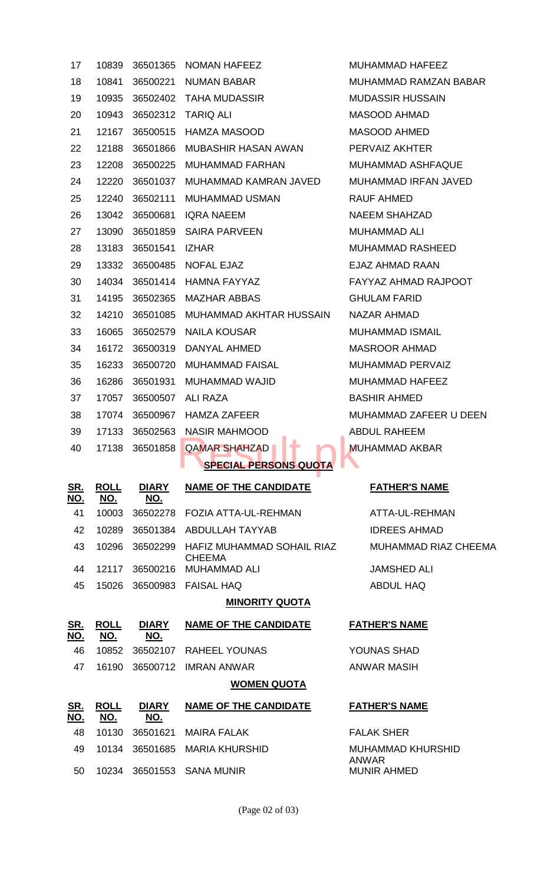| 17                       | 10839                     | 36501365                   | <b>NOMAN HAFEEZ</b>                         | MUHAMMAD HAFEEZ             |
|--------------------------|---------------------------|----------------------------|---------------------------------------------|-----------------------------|
| 18                       | 10841                     | 36500221                   | <b>NUMAN BABAR</b>                          | MUHAMMAD RAMZAN BABAR       |
| 19                       | 10935                     | 36502402                   | TAHA MUDASSIR                               | <b>MUDASSIR HUSSAIN</b>     |
| 20                       | 10943                     | 36502312                   | <b>TARIQ ALI</b>                            | <b>MASOOD AHMAD</b>         |
| 21                       | 12167                     | 36500515                   | <b>HAMZA MASOOD</b>                         | <b>MASOOD AHMED</b>         |
| 22                       | 12188                     | 36501866                   | <b>MUBASHIR HASAN AWAN</b>                  | PERVAIZ AKHTER              |
| 23                       | 12208                     | 36500225                   | <b>MUHAMMAD FARHAN</b>                      | <b>MUHAMMAD ASHFAQUE</b>    |
| 24                       | 12220                     | 36501037                   | MUHAMMAD KAMRAN JAVED                       | MUHAMMAD IRFAN JAVED        |
| 25                       | 12240                     | 36502111                   | MUHAMMAD USMAN                              | RAUF AHMED                  |
| 26                       | 13042                     | 36500681                   | <b>IQRA NAEEM</b>                           | <b>NAEEM SHAHZAD</b>        |
| 27                       | 13090                     |                            | 36501859 SAIRA PARVEEN                      | <b>MUHAMMAD ALI</b>         |
| 28                       | 13183                     | 36501541                   | <b>IZHAR</b>                                | <b>MUHAMMAD RASHEED</b>     |
| 29                       | 13332                     | 36500485                   | NOFAL EJAZ                                  | EJAZ AHMAD RAAN             |
| 30                       | 14034                     | 36501414                   | HAMNA FAYYAZ                                | <b>FAYYAZ AHMAD RAJPOOT</b> |
| 31                       | 14195                     | 36502365                   | <b>MAZHAR ABBAS</b>                         | <b>GHULAM FARID</b>         |
| 32                       | 14210                     | 36501085                   | MUHAMMAD AKHTAR HUSSAIN                     | NAZAR AHMAD                 |
| 33                       | 16065                     | 36502579                   | <b>NAILA KOUSAR</b>                         | <b>MUHAMMAD ISMAIL</b>      |
| 34                       | 16172                     | 36500319                   | DANYAL AHMED                                | <b>MASROOR AHMAD</b>        |
| 35                       | 16233                     | 36500720                   | <b>MUHAMMAD FAISAL</b>                      | <b>MUHAMMAD PERVAIZ</b>     |
| 36                       | 16286                     | 36501931                   | MUHAMMAD WAJID                              | MUHAMMAD HAFEEZ             |
| 37                       | 17057                     | 36500507                   | ALI RAZA                                    | <b>BASHIR AHMED</b>         |
| 38                       | 17074                     | 36500967                   | <b>HAMZA ZAFEER</b>                         | MUHAMMAD ZAFEER U DEEN      |
| 39                       |                           |                            | 17133 36502563 NASIR MAHMOOD                | <b>ABDUL RAHEEM</b>         |
| 40                       | 17138                     | 36501858                   | ∔<br><b>QAMAR SHAHZAD</b>                   | <b>MUHAMMAD AKBAR</b>       |
|                          |                           |                            | <b>SPECIAL PERSONS QUOTA</b>                |                             |
| <u>SR.</u><br><u>NO.</u> | <b>ROLL</b><br><u>NO.</u> | <b>DIARY</b><br><u>NO.</u> | <b>NAME OF THE CANDIDATE</b>                | <b>FATHER'S NAME</b>        |
| 41                       | 10003                     | 36502278                   | <b>FOZIA ATTA-UL-REHMAN</b>                 | ATTA-UL-REHMAN              |
| 42                       | 10289                     | 36501384                   | <b>ABDULLAH TAYYAB</b>                      | <b>IDREES AHMAD</b>         |
| 43                       | 10296                     | 36502299                   | HAFIZ MUHAMMAD SOHAIL RIAZ<br><b>CHEEMA</b> | MUHAMMAD RIAZ CHEEMA        |
| 44                       | 12117                     | 36500216                   | <b>MUHAMMAD ALI</b>                         | <b>JAMSHED ALI</b>          |
| 45                       | 15026                     | 36500983                   | <b>FAISAL HAQ</b>                           | <b>ABDUL HAQ</b>            |
| <b>MINORITY QUOTA</b>    |                           |                            |                                             |                             |
| <u>SR.</u><br>NO.        | <b>ROLL</b><br><u>NO.</u> | <b>DIARY</b><br>NO.        | <b>NAME OF THE CANDIDATE</b>                | <b>FATHER'S NAME</b>        |
| 46                       | 10852                     | 36502107                   | <b>RAHEEL YOUNAS</b>                        | YOUNAS SHAD                 |
| 47                       | 16190                     | 36500712                   | <b>IMRAN ANWAR</b>                          | <b>ANWAR MASIH</b>          |
|                          |                           |                            | <b>WOMEN QUOTA</b>                          |                             |
| <u>SR.</u>               | <b>ROLL</b>               | <b>DIARY</b>               | <b>NAME OF THE CANDIDATE</b>                | <b>FATHER'S NAME</b>        |
| NO.                      | <u>NO.</u>                | NO.                        |                                             |                             |
| 48                       | 10130                     | 36501621                   | <b>MAIRA FALAK</b>                          | <b>FALAK SHER</b>           |
| 49                       | 10134                     | 36501685                   | <b>MARIA KHURSHID</b>                       | <b>MUHAMMAD KHURSHID</b>    |
| 50                       | 10234                     | 36501553                   | <b>SANA MUNIR</b>                           | ANWAR<br><b>MUNIR AHMED</b> |
|                          |                           |                            |                                             |                             |